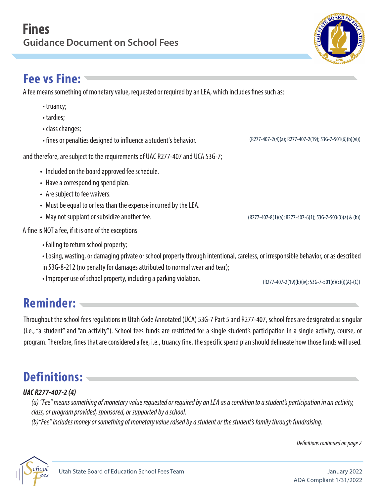### **Fee vs Fine:**

A fee means something of monetary value, requested or required by an LEA, which includes fines such as:

- truancy;
- tardies;
- class changes;
- fines or penalties designed to influence a student's behavior. (R277-407-2(4)(a); R277-407-2(19); 53G-7-501(6)(b)(vi))

and therefore, are subject to the requirements of UAC R277-407 and UCA 53G-7;

- Included on the board approved fee schedule.
- Have a corresponding spend plan.
- Are subject to fee waivers.
- Must be equal to or less than the expense incurred by the LEA.
- May not supplant or subsidize another fee. (R277-407-8(1)(a); R277-407-8(1)(a); R277-407-6(1); 53G-7-503(3)(a) & (b))

A fine is NOT a fee, if it is one of the exceptions

- Failing to return school property;
- Losing, wasting, or damaging private or school property through intentional, careless, or irresponsible behavior, or as described in 53G-8-212 (no penalty for damages attributed to normal wear and tear);
- Improper use of school property, including a parking violation. (R277-407-2(19)(b)(iv); 53G-7-501(6)(c)(i)(A)-(C))

# **Reminder:**

Throughout the school fees regulations in Utah Code Annotated (UCA) 53G-7 Part 5 and R277-407, school fees are designated as singular (i.e., "a student" and "an activity"). School fees funds are restricted for a single student's participation in a single activity, course, or program. Therefore, fines that are considered a fee, i.e., truancy fine, the specific spend plan should delineate how those funds will used.

## **Definitions:**

#### **UAC R277-407-2 (4)**

*(a) "Fee" means something of monetary value requested or required by an LEA as a condition to a student's participation in an activity, class, or program provided, sponsored, or supported by a school.* 

*(b)"Fee" includes money or something of monetary value raised by a student or thestudent's family through fundraising.*

*Definitions continued on page 2*